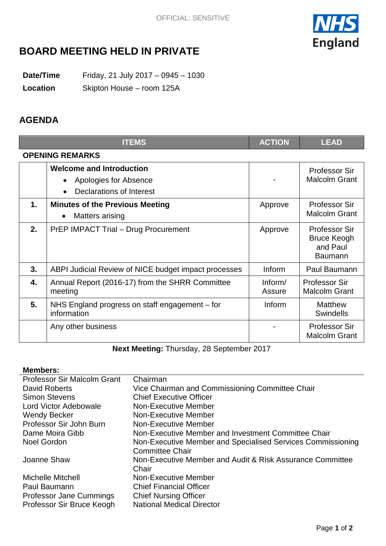

# **BOARD MEETING HELD IN PRIVATE**

**Date/Time** Friday, 21 July 2017 – 0945 – 1030

**Location** Skipton House – room 125A

## **AGENDA**

|                        | <b>ITEMS</b>                                                                         | <b>ACTION</b>     | <b>LEAD</b>                                                              |  |
|------------------------|--------------------------------------------------------------------------------------|-------------------|--------------------------------------------------------------------------|--|
| <b>OPENING REMARKS</b> |                                                                                      |                   |                                                                          |  |
|                        | <b>Welcome and Introduction</b><br>Apologies for Absence<br>Declarations of Interest |                   | <b>Professor Sir</b><br><b>Malcolm Grant</b>                             |  |
| 1.                     | <b>Minutes of the Previous Meeting</b><br><b>Matters arising</b>                     | Approve           | Professor Sir<br><b>Malcolm Grant</b>                                    |  |
| 2.                     | <b>PrEP IMPACT Trial - Drug Procurement</b>                                          | Approve           | <b>Professor Sir</b><br><b>Bruce Keogh</b><br>and Paul<br><b>Baumann</b> |  |
| 3.                     | ABPI Judicial Review of NICE budget impact processes                                 | Inform            | Paul Baumann                                                             |  |
| 4.                     | Annual Report (2016-17) from the SHRR Committee<br>meeting                           | Inform/<br>Assure | <b>Professor Sir</b><br><b>Malcolm Grant</b>                             |  |
| 5.                     | NHS England progress on staff engagement – for<br>information                        | <b>Inform</b>     | <b>Matthew</b><br><b>Swindells</b>                                       |  |
|                        | Any other business                                                                   |                   | <b>Professor Sir</b><br><b>Malcolm Grant</b>                             |  |

**Next Meeting:** Thursday, 28 September 2017

#### **Members:**

| Professor Sir Malcolm Grant    | Chairman                                                    |  |  |
|--------------------------------|-------------------------------------------------------------|--|--|
| David Roberts                  | Vice Chairman and Commissioning Committee Chair             |  |  |
| <b>Simon Stevens</b>           | <b>Chief Executive Officer</b>                              |  |  |
| Lord Victor Adebowale          | <b>Non-Executive Member</b>                                 |  |  |
| <b>Wendy Becker</b>            | <b>Non-Executive Member</b>                                 |  |  |
| Professor Sir John Burn        | Non-Executive Member                                        |  |  |
| Dame Moira Gibb                | Non-Executive Member and Investment Committee Chair         |  |  |
| <b>Noel Gordon</b>             | Non-Executive Member and Specialised Services Commissioning |  |  |
|                                | <b>Committee Chair</b>                                      |  |  |
| Joanne Shaw                    | Non-Executive Member and Audit & Risk Assurance Committee   |  |  |
|                                | Chair                                                       |  |  |
| <b>Michelle Mitchell</b>       | Non-Executive Member                                        |  |  |
| Paul Baumann                   | <b>Chief Financial Officer</b>                              |  |  |
| <b>Professor Jane Cummings</b> | <b>Chief Nursing Officer</b>                                |  |  |
| Professor Sir Bruce Keogh      | <b>National Medical Director</b>                            |  |  |